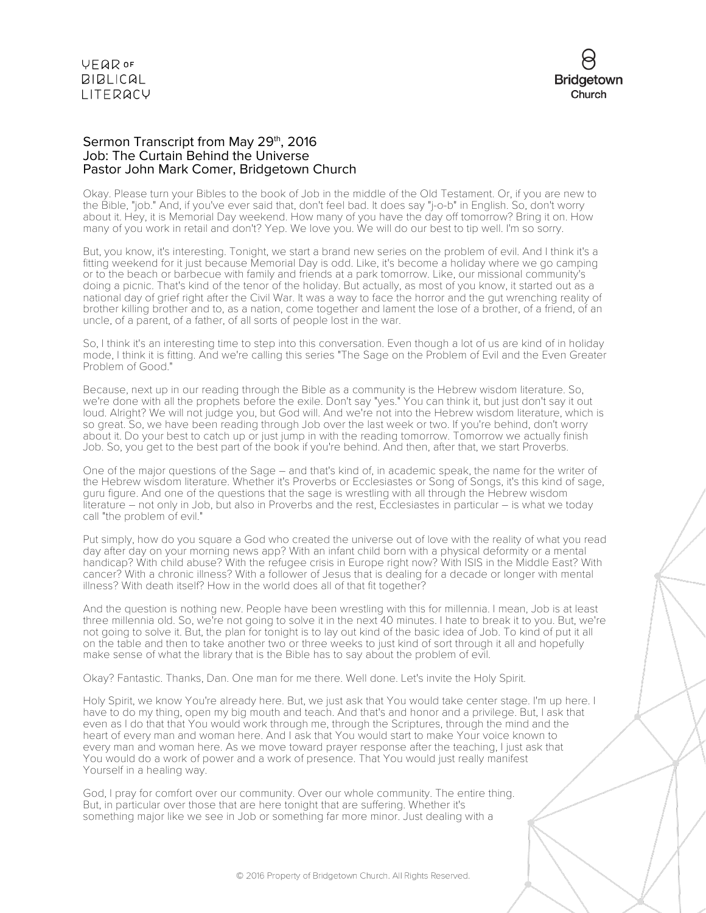

# Sermon Transcript from May 29th, 2016 Job: The Curtain Behind the Universe Pastor John Mark Comer, Bridgetown Church

Okay. Please turn your Bibles to the book of Job in the middle of the Old Testament. Or, if you are new to the Bible, "job." And, if you've ever said that, don't feel bad. It does say "j-o-b" in English. So, don't worry about it. Hey, it is Memorial Day weekend. How many of you have the day off tomorrow? Bring it on. How many of you work in retail and don't? Yep. We love you. We will do our best to tip well. I'm so sorry.

But, you know, it's interesting. Tonight, we start a brand new series on the problem of evil. And I think it's a fitting weekend for it just because Memorial Day is odd. Like, it's become a holiday where we go camping or to the beach or barbecue with family and friends at a park tomorrow. Like, our missional community's doing a picnic. That's kind of the tenor of the holiday. But actually, as most of you know, it started out as a national day of grief right after the Civil War. It was a way to face the horror and the gut wrenching reality of brother killing brother and to, as a nation, come together and lament the lose of a brother, of a friend, of an uncle, of a parent, of a father, of all sorts of people lost in the war.

So, I think it's an interesting time to step into this conversation. Even though a lot of us are kind of in holiday mode, I think it is fitting. And we're calling this series "The Sage on the Problem of Evil and the Even Greater Problem of Good."

Because, next up in our reading through the Bible as a community is the Hebrew wisdom literature. So, we're done with all the prophets before the exile. Don't say "yes." You can think it, but just don't say it out loud. Alright? We will not judge you, but God will. And we're not into the Hebrew wisdom literature, which is so great. So, we have been reading through Job over the last week or two. If you're behind, don't worry about it. Do your best to catch up or just jump in with the reading tomorrow. Tomorrow we actually finish Job. So, you get to the best part of the book if you're behind. And then, after that, we start Proverbs.

One of the major questions of the Sage – and that's kind of, in academic speak, the name for the writer of the Hebrew wisdom literature. Whether it's Proverbs or Ecclesiastes or Song of Songs, it's this kind of sage, guru figure. And one of the questions that the sage is wrestling with all through the Hebrew wisdom literature – not only in Job, but also in Proverbs and the rest, Ecclesiastes in particular – is what we today call "the problem of evil."

Put simply, how do you square a God who created the universe out of love with the reality of what you read day after day on your morning news app? With an infant child born with a physical deformity or a mental handicap? With child abuse? With the refugee crisis in Europe right now? With ISIS in the Middle East? With cancer? With a chronic illness? With a follower of Jesus that is dealing for a decade or longer with mental illness? With death itself? How in the world does all of that fit together?

And the question is nothing new. People have been wrestling with this for millennia. I mean, Job is at least three millennia old. So, we're not going to solve it in the next 40 minutes. I hate to break it to you. But, we're not going to solve it. But, the plan for tonight is to lay out kind of the basic idea of Job. To kind of put it all on the table and then to take another two or three weeks to just kind of sort through it all and hopefully make sense of what the library that is the Bible has to say about the problem of evil.

Okay? Fantastic. Thanks, Dan. One man for me there. Well done. Let's invite the Holy Spirit.

Holy Spirit, we know You're already here. But, we just ask that You would take center stage. I'm up here. I have to do my thing, open my big mouth and teach. And that's and honor and a privilege. But, I ask that even as I do that that You would work through me, through the Scriptures, through the mind and the heart of every man and woman here. And I ask that You would start to make Your voice known to every man and woman here. As we move toward prayer response after the teaching, I just ask that You would do a work of power and a work of presence. That You would just really manifest Yourself in a healing way.

God, I pray for comfort over our community. Over our whole community. The entire thing. But, in particular over those that are here tonight that are suffering. Whether it's something major like we see in Job or something far more minor. Just dealing with a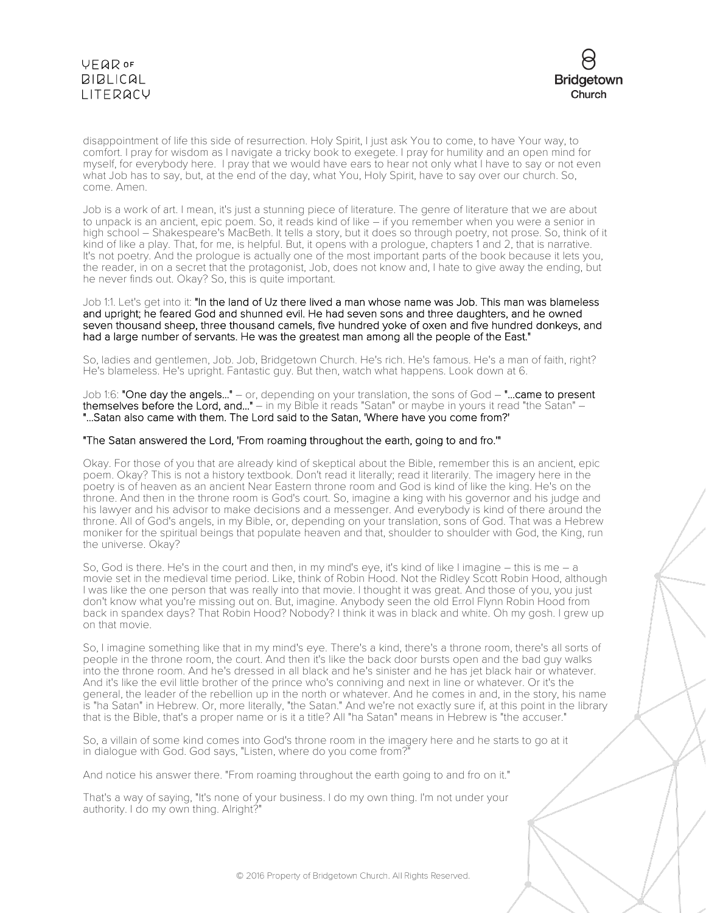# **VEQR OF BIBLICAL** LITERACY



disappointment of life this side of resurrection. Holy Spirit, I just ask You to come, to have Your way, to comfort. I pray for wisdom as I navigate a tricky book to exegete. I pray for humility and an open mind for myself, for everybody here. I pray that we would have ears to hear not only what I have to say or not even what Job has to say, but, at the end of the day, what You, Holy Spirit, have to say over our church. So, come. Amen.

Job is a work of art. I mean, it's just a stunning piece of literature. The genre of literature that we are about to unpack is an ancient, epic poem. So, it reads kind of like – if you remember when you were a senior in high school – Shakespeare's MacBeth. It tells a story, but it does so through poetry, not prose. So, think of it kind of like a play. That, for me, is helpful. But, it opens with a prologue, chapters 1 and 2, that is narrative. It's not poetry. And the prologue is actually one of the most important parts of the book because it lets you, the reader, in on a secret that the protagonist, Job, does not know and, I hate to give away the ending, but he never finds out. Okay? So, this is quite important.

## Job 1:1. Let's get into it: "In the land of Uz there lived a man whose name was Job. This man was blameless and upright; he feared God and shunned evil. He had seven sons and three daughters, and he owned seven thousand sheep, three thousand camels, five hundred yoke of oxen and five hundred donkeys, and had a large number of servants. He was the greatest man among all the people of the East."

So, ladies and gentlemen, Job. Job, Bridgetown Church. He's rich. He's famous. He's a man of faith, right? He's blameless. He's upright. Fantastic guy. But then, watch what happens. Look down at 6.

Job 1:6: "One day the angels..." – or, depending on your translation, the sons of God – "...came to present themselves before the Lord, and..." - in my Bible it reads "Satan" or maybe in yours it read "the Satan" -"...Satan also came with them. The Lord said to the Satan, 'Where have you come from?'

# "The Satan answered the Lord, 'From roaming throughout the earth, going to and fro.'"

Okay. For those of you that are already kind of skeptical about the Bible, remember this is an ancient, epic poem. Okay? This is not a history textbook. Don't read it literally; read it literarily. The imagery here in the poetry is of heaven as an ancient Near Eastern throne room and God is kind of like the king. He's on the throne. And then in the throne room is God's court. So, imagine a king with his governor and his judge and his lawyer and his advisor to make decisions and a messenger. And everybody is kind of there around the throne. All of God's angels, in my Bible, or, depending on your translation, sons of God. That was a Hebrew moniker for the spiritual beings that populate heaven and that, shoulder to shoulder with God, the King, run the universe. Okay?

So, God is there. He's in the court and then, in my mind's eye, it's kind of like I imagine – this is me – a movie set in the medieval time period. Like, think of Robin Hood. Not the Ridley Scott Robin Hood, although I was like the one person that was really into that movie. I thought it was great. And those of you, you just don't know what you're missing out on. But, imagine. Anybody seen the old Errol Flynn Robin Hood from back in spandex days? That Robin Hood? Nobody? I think it was in black and white. Oh my gosh. I grew up on that movie.

So, I imagine something like that in my mind's eye. There's a kind, there's a throne room, there's all sorts of people in the throne room, the court. And then it's like the back door bursts open and the bad guy walks into the throne room. And he's dressed in all black and he's sinister and he has jet black hair or whatever. And it's like the evil little brother of the prince who's conniving and next in line or whatever. Or it's the general, the leader of the rebellion up in the north or whatever. And he comes in and, in the story, his name is "ha Satan" in Hebrew. Or, more literally, "the Satan." And we're not exactly sure if, at this point in the library that is the Bible, that's a proper name or is it a title? All "ha Satan" means in Hebrew is "the accuser."

So, a villain of some kind comes into God's throne room in the imagery here and he starts to go at it in dialogue with God. God says, "Listen, where do you come from?"

And notice his answer there. "From roaming throughout the earth going to and fro on it."

That's a way of saying, "It's none of your business. I do my own thing. I'm not under your authority. I do my own thing. Alright?"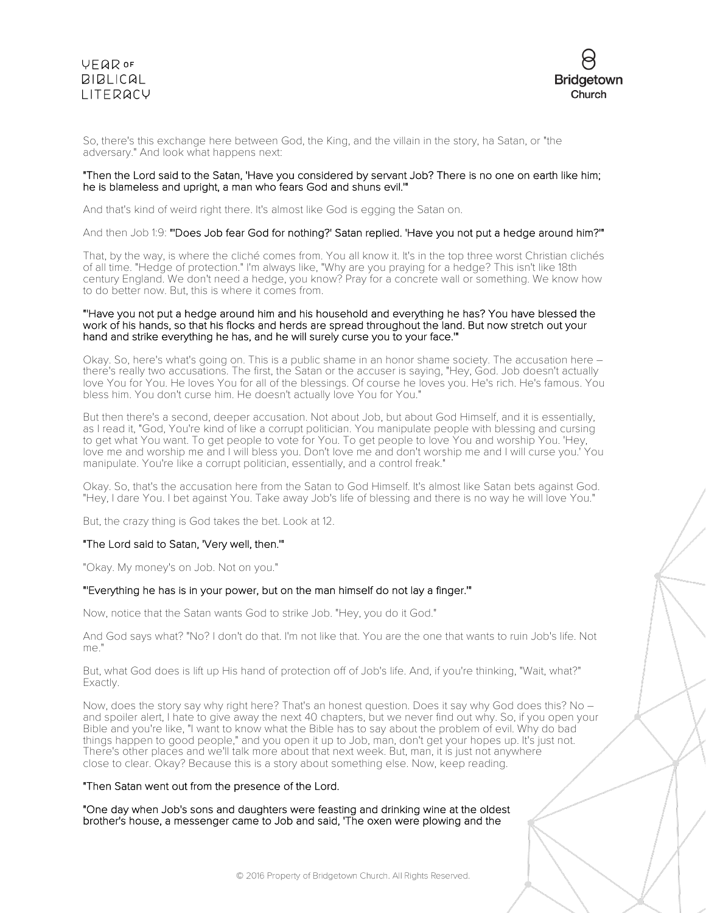



So, there's this exchange here between God, the King, and the villain in the story, ha Satan, or "the adversary." And look what happens next:

## "Then the Lord said to the Satan, 'Have you considered by servant Job? There is no one on earth like him; he is blameless and upright, a man who fears God and shuns evil.'"

And that's kind of weird right there. It's almost like God is egging the Satan on.

And then Job 1:9: "'Does Job fear God for nothing?' Satan replied. 'Have you not put a hedge around him?'"

That, by the way, is where the cliché comes from. You all know it. It's in the top three worst Christian clichés of all time. "Hedge of protection." I'm always like, "Why are you praying for a hedge? This isn't like 18th century England. We don't need a hedge, you know? Pray for a concrete wall or something. We know how to do better now. But, this is where it comes from.

### "'Have you not put a hedge around him and his household and everything he has? You have blessed the work of his hands, so that his flocks and herds are spread throughout the land. But now stretch out your hand and strike everything he has, and he will surely curse you to your face.'"

Okay. So, here's what's going on. This is a public shame in an honor shame society. The accusation here – there's really two accusations. The first, the Satan or the accuser is saying, "Hey, God. Job doesn't actually love You for You. He loves You for all of the blessings. Of course he loves you. He's rich. He's famous. You bless him. You don't curse him. He doesn't actually love You for You."

But then there's a second, deeper accusation. Not about Job, but about God Himself, and it is essentially, as I read it, "God, You're kind of like a corrupt politician. You manipulate people with blessing and cursing to get what You want. To get people to vote for You. To get people to love You and worship You. 'Hey, love me and worship me and I will bless you. Don't love me and don't worship me and I will curse you.' You manipulate. You're like a corrupt politician, essentially, and a control freak."

Okay. So, that's the accusation here from the Satan to God Himself. It's almost like Satan bets against God. "Hey, I dare You. I bet against You. Take away Job's life of blessing and there is no way he will love You."

But, the crazy thing is God takes the bet. Look at 12.

## "The Lord said to Satan, 'Very well, then.'"

"Okay. My money's on Job. Not on you."

#### "'Everything he has is in your power, but on the man himself do not lay a finger.'"

Now, notice that the Satan wants God to strike Job. "Hey, you do it God."

And God says what? "No? I don't do that. I'm not like that. You are the one that wants to ruin Job's life. Not me."

But, what God does is lift up His hand of protection off of Job's life. And, if you're thinking, "Wait, what?" Exactly.

Now, does the story say why right here? That's an honest question. Does it say why God does this? No – and spoiler alert, I hate to give away the next 40 chapters, but we never find out why. So, if you open your Bible and you're like, "I want to know what the Bible has to say about the problem of evil. Why do bad things happen to good people," and you open it up to Job, man, don't get your hopes up. It's just not. There's other places and we'll talk more about that next week. But, man, it is just not anywhere close to clear. Okay? Because this is a story about something else. Now, keep reading.

## "Then Satan went out from the presence of the Lord.

"One day when Job's sons and daughters were feasting and drinking wine at the oldest brother's house, a messenger came to Job and said, 'The oxen were plowing and the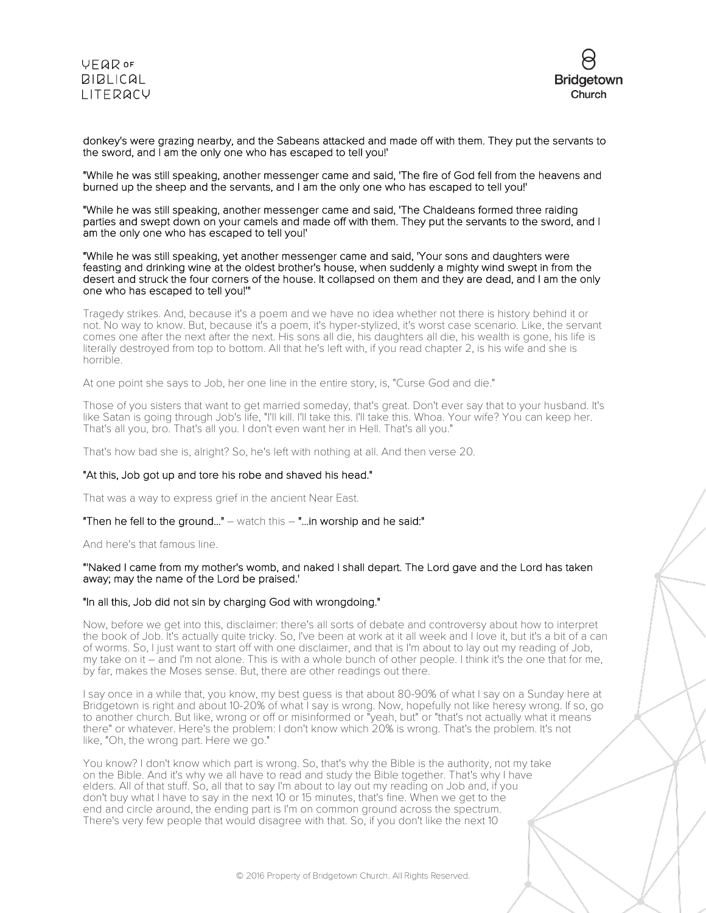



donkey's were grazing nearby, and the Sabeans attacked and made off with them. They put the servants to the sword, and I am the only one who has escaped to tell you!'

"While he was still speaking, another messenger came and said, 'The fire of God fell from the heavens and burned up the sheep and the servants, and I am the only one who has escaped to tell you!'

"While he was still speaking, another messenger came and said, 'The Chaldeans formed three raiding parties and swept down on your camels and made off with them. They put the servants to the sword, and I am the only one who has escaped to tell you!'

"While he was still speaking, yet another messenger came and said, 'Your sons and daughters were feasting and drinking wine at the oldest brother's house, when suddenly a mighty wind swept in from the desert and struck the four corners of the house. It collapsed on them and they are dead, and I am the only one who has escaped to tell you!'"

Tragedy strikes. And, because it's a poem and we have no idea whether not there is history behind it or not. No way to know. But, because it's a poem, it's hyper-stylized, it's worst case scenario. Like, the servant comes one after the next after the next. His sons all die, his daughters all die, his wealth is gone, his life is literally destroyed from top to bottom. All that he's left with, if you read chapter 2, is his wife and she is horrible.

At one point she says to Job, her one line in the entire story, is, "Curse God and die."

Those of you sisters that want to get married someday, that's great. Don't ever say that to your husband. It's like Satan is going through Job's life, "I'll kill. I'll take this. I'll take this. Whoa. Your wife? You can keep her. That's all you, bro. That's all you. I don't even want her in Hell. That's all you."

That's how bad she is, alright? So, he's left with nothing at all. And then verse 20.

## "At this, Job got up and tore his robe and shaved his head."

That was a way to express grief in the ancient Near East.

# "Then he fell to the ground..."  $-$  watch this  $-$  "...in worship and he said:"

And here's that famous line.

## "'Naked I came from my mother's womb, and naked I shall depart. The Lord gave and the Lord has taken away; may the name of the Lord be praised.'

## "In all this, Job did not sin by charging God with wrongdoing."

Now, before we get into this, disclaimer: there's all sorts of debate and controversy about how to interpret the book of Job. It's actually quite tricky. So, I've been at work at it all week and I love it, but it's a bit of a can of worms. So, I just want to start off with one disclaimer, and that is I'm about to lay out my reading of Job, my take on it – and I'm not alone. This is with a whole bunch of other people. I think it's the one that for me, by far, makes the Moses sense. But, there are other readings out there.

I say once in a while that, you know, my best guess is that about 80-90% of what I say on a Sunday here at Bridgetown is right and about 10-20% of what I say is wrong. Now, hopefully not like heresy wrong. If so, go to another church. But like, wrong or off or misinformed or "yeah, but" or "that's not actually what it means there" or whatever. Here's the problem: I don't know which 20% is wrong. That's the problem. It's not like, "Oh, the wrong part. Here we go."

You know? I don't know which part is wrong. So, that's why the Bible is the authority, not my take on the Bible. And it's why we all have to read and study the Bible together. That's why I have elders. All of that stuff. So, all that to say I'm about to lay out my reading on Job and, if you don't buy what I have to say in the next 10 or 15 minutes, that's fine. When we get to the end and circle around, the ending part is I'm on common ground across the spectrum. There's very few people that would disagree with that. So, if you don't like the next 10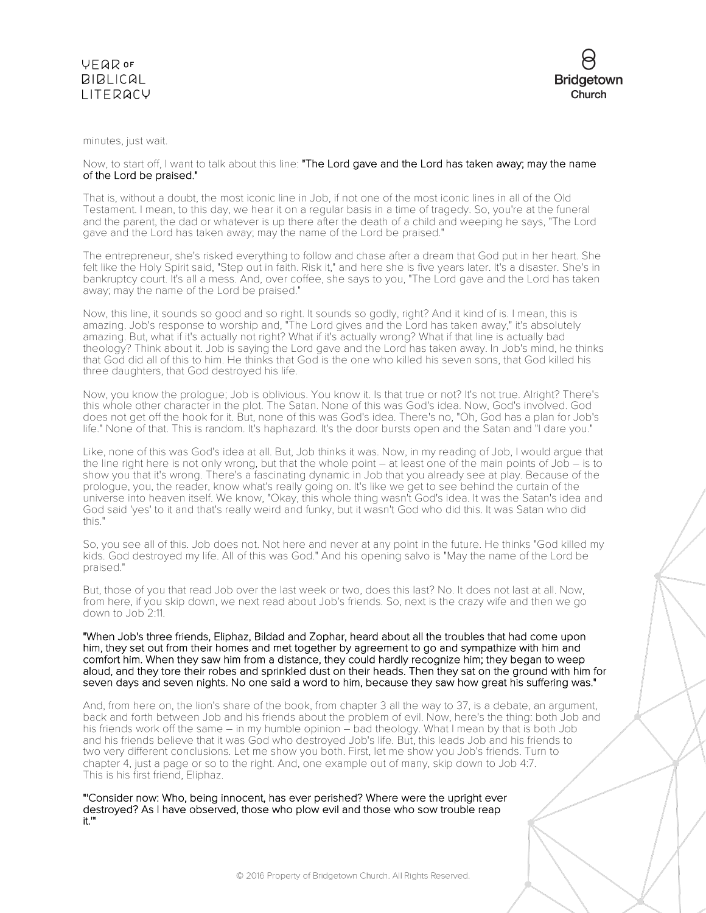



minutes, just wait.

# Now, to start off, I want to talk about this line: "The Lord gave and the Lord has taken away; may the name of the Lord be praised."

That is, without a doubt, the most iconic line in Job, if not one of the most iconic lines in all of the Old Testament. I mean, to this day, we hear it on a regular basis in a time of tragedy. So, you're at the funeral and the parent, the dad or whatever is up there after the death of a child and weeping he says, "The Lord gave and the Lord has taken away; may the name of the Lord be praised."

The entrepreneur, she's risked everything to follow and chase after a dream that God put in her heart. She felt like the Holy Spirit said, "Step out in faith. Risk it," and here she is five years later. It's a disaster. She's in bankruptcy court. It's all a mess. And, over coffee, she says to you, "The Lord gave and the Lord has taken away; may the name of the Lord be praised."

Now, this line, it sounds so good and so right. It sounds so godly, right? And it kind of is. I mean, this is amazing. Job's response to worship and, "The Lord gives and the Lord has taken away," it's absolutely amazing. But, what if it's actually not right? What if it's actually wrong? What if that line is actually bad theology? Think about it. Job is saying the Lord gave and the Lord has taken away. In Job's mind, he thinks that God did all of this to him. He thinks that God is the one who killed his seven sons, that God killed his three daughters, that God destroyed his life.

Now, you know the prologue; Job is oblivious. You know it. Is that true or not? It's not true. Alright? There's this whole other character in the plot. The Satan. None of this was God's idea. Now, God's involved. God does not get off the hook for it. But, none of this was God's idea. There's no, "Oh, God has a plan for Job's life." None of that. This is random. It's haphazard. It's the door bursts open and the Satan and "I dare you."

Like, none of this was God's idea at all. But, Job thinks it was. Now, in my reading of Job, I would argue that the line right here is not only wrong, but that the whole point – at least one of the main points of Job – is to show you that it's wrong. There's a fascinating dynamic in Job that you already see at play. Because of the prologue, you, the reader, know what's really going on. It's like we get to see behind the curtain of the universe into heaven itself. We know, "Okay, this whole thing wasn't God's idea. It was the Satan's idea and God said 'yes' to it and that's really weird and funky, but it wasn't God who did this. It was Satan who did this."

So, you see all of this. Job does not. Not here and never at any point in the future. He thinks "God killed my kids. God destroyed my life. All of this was God." And his opening salvo is "May the name of the Lord be praised."

But, those of you that read Job over the last week or two, does this last? No. It does not last at all. Now, from here, if you skip down, we next read about Job's friends. So, next is the crazy wife and then we go down to Job 2:11.

"When Job's three friends, Eliphaz, Bildad and Zophar, heard about all the troubles that had come upon him, they set out from their homes and met together by agreement to go and sympathize with him and comfort him. When they saw him from a distance, they could hardly recognize him; they began to weep aloud, and they tore their robes and sprinkled dust on their heads. Then they sat on the ground with him for seven days and seven nights. No one said a word to him, because they saw how great his suffering was."

And, from here on, the lion's share of the book, from chapter 3 all the way to 37, is a debate, an argument, back and forth between Job and his friends about the problem of evil. Now, here's the thing: both Job and his friends work off the same – in my humble opinion – bad theology. What I mean by that is both Job and his friends believe that it was God who destroyed Job's life. But, this leads Job and his friends to two very different conclusions. Let me show you both. First, let me show you Job's friends. Turn to chapter 4, just a page or so to the right. And, one example out of many, skip down to Job 4:7. This is his first friend, Eliphaz.

"'Consider now: Who, being innocent, has ever perished? Where were the upright ever destroyed? As I have observed, those who plow evil and those who sow trouble reap it.'"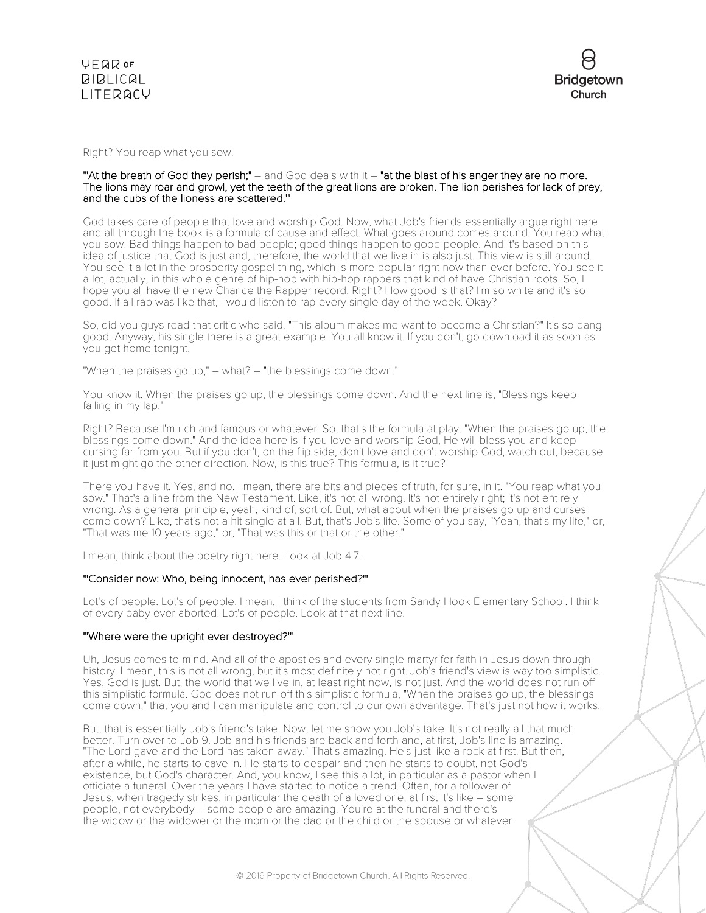

Right? You reap what you sow.

## "'At the breath of God they perish;" – and God deals with it – "at the blast of his anger they are no more. The lions may roar and growl, yet the teeth of the great lions are broken. The lion perishes for lack of prey, and the cubs of the lioness are scattered.'"

God takes care of people that love and worship God. Now, what Job's friends essentially argue right here and all through the book is a formula of cause and effect. What goes around comes around. You reap what you sow. Bad things happen to bad people; good things happen to good people. And it's based on this idea of justice that God is just and, therefore, the world that we live in is also just. This view is still around. You see it a lot in the prosperity gospel thing, which is more popular right now than ever before. You see it a lot, actually, in this whole genre of hip-hop with hip-hop rappers that kind of have Christian roots. So, I hope you all have the new Chance the Rapper record. Right? How good is that? I'm so white and it's so good. If all rap was like that, I would listen to rap every single day of the week. Okay?

So, did you guys read that critic who said, "This album makes me want to become a Christian?" It's so dang good. Anyway, his single there is a great example. You all know it. If you don't, go download it as soon as you get home tonight.

"When the praises go up," – what? – "the blessings come down."

You know it. When the praises go up, the blessings come down. And the next line is, "Blessings keep falling in my lap."

Right? Because I'm rich and famous or whatever. So, that's the formula at play. "When the praises go up, the blessings come down." And the idea here is if you love and worship God, He will bless you and keep cursing far from you. But if you don't, on the flip side, don't love and don't worship God, watch out, because it just might go the other direction. Now, is this true? This formula, is it true?

There you have it. Yes, and no. I mean, there are bits and pieces of truth, for sure, in it. "You reap what you sow." That's a line from the New Testament. Like, it's not all wrong. It's not entirely right; it's not entirely wrong. As a general principle, yeah, kind of, sort of. But, what about when the praises go up and curses come down? Like, that's not a hit single at all. But, that's Job's life. Some of you say, "Yeah, that's my life," or, "That was me 10 years ago," or, "That was this or that or the other."

I mean, think about the poetry right here. Look at Job 4:7.

#### "'Consider now: Who, being innocent, has ever perished?'"

Lot's of people. Lot's of people. I mean, I think of the students from Sandy Hook Elementary School. I think of every baby ever aborted. Lot's of people. Look at that next line.

### "'Where were the upright ever destroyed?'"

Uh, Jesus comes to mind. And all of the apostles and every single martyr for faith in Jesus down through history. I mean, this is not all wrong, but it's most definitely not right. Job's friend's view is way too simplistic. Yes, God is just. But, the world that we live in, at least right now, is not just. And the world does not run off this simplistic formula. God does not run off this simplistic formula, "When the praises go up, the blessings come down," that you and I can manipulate and control to our own advantage. That's just not how it works.

But, that is essentially Job's friend's take. Now, let me show you Job's take. It's not really all that much better. Turn over to Job 9. Job and his friends are back and forth and, at first, Job's line is amazing. "The Lord gave and the Lord has taken away." That's amazing. He's just like a rock at first. But then, after a while, he starts to cave in. He starts to despair and then he starts to doubt, not God's existence, but God's character. And, you know, I see this a lot, in particular as a pastor when I officiate a funeral. Over the years I have started to notice a trend. Often, for a follower of Jesus, when tragedy strikes, in particular the death of a loved one, at first it's like – some people, not everybody – some people are amazing. You're at the funeral and there's the widow or the widower or the mom or the dad or the child or the spouse or whatever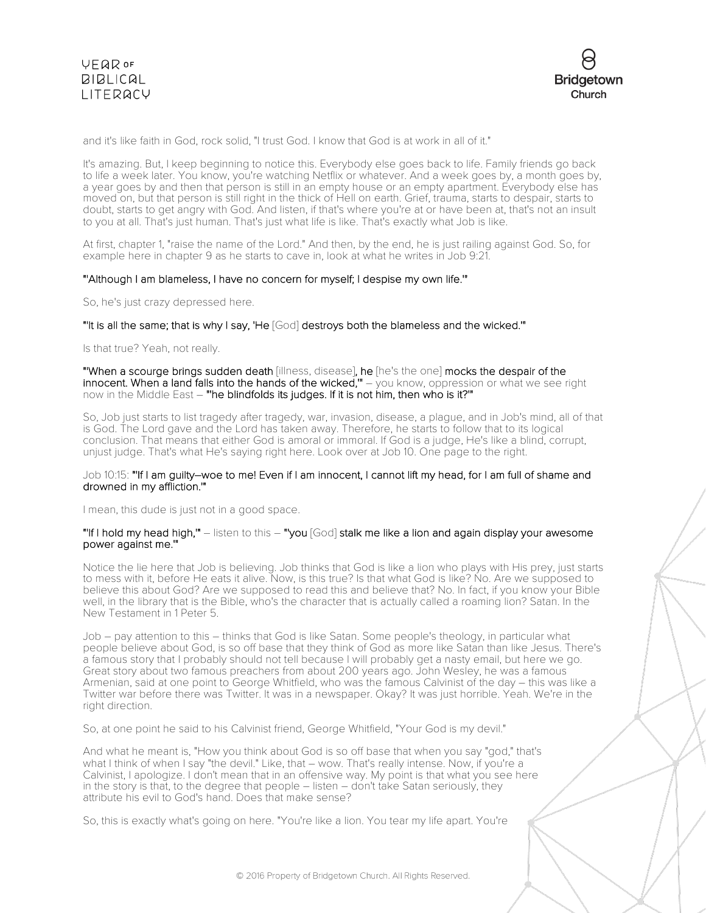

and it's like faith in God, rock solid, "I trust God. I know that God is at work in all of it."

It's amazing. But, I keep beginning to notice this. Everybody else goes back to life. Family friends go back to life a week later. You know, you're watching Netflix or whatever. And a week goes by, a month goes by, a year goes by and then that person is still in an empty house or an empty apartment. Everybody else has moved on, but that person is still right in the thick of Hell on earth. Grief, trauma, starts to despair, starts to doubt, starts to get angry with God. And listen, if that's where you're at or have been at, that's not an insult to you at all. That's just human. That's just what life is like. That's exactly what Job is like.

At first, chapter 1, "raise the name of the Lord." And then, by the end, he is just railing against God. So, for example here in chapter 9 as he starts to cave in, look at what he writes in Job 9:21.

# "'Although I am blameless, I have no concern for myself; I despise my own life.'"

So, he's just crazy depressed here.

#### "'It is all the same; that is why I say, 'He [God] destroys both the blameless and the wicked.'"

Is that true? Yeah, not really.

"'When a scourge brings sudden death [illness, disease], he [he's the one] mocks the despair of the innocent. When a land falls into the hands of the wicked," – you know, oppression or what we see right now in the Middle East – "'he blindfolds its judges. If it is not him, then who is it?'"

So, Job just starts to list tragedy after tragedy, war, invasion, disease, a plague, and in Job's mind, all of that is God. The Lord gave and the Lord has taken away. Therefore, he starts to follow that to its logical conclusion. That means that either God is amoral or immoral. If God is a judge, He's like a blind, corrupt, unjust judge. That's what He's saying right here. Look over at Job 10. One page to the right.

# Job 10:15: "'If I am guilty–woe to me! Even if I am innocent, I cannot lift my head, for I am full of shame and drowned in my affliction.'"

I mean, this dude is just not in a good space.

## "'If I hold my head high,'" – listen to this – "'you [God] stalk me like a lion and again display your awesome power against me.'"

Notice the lie here that Job is believing. Job thinks that God is like a lion who plays with His prey, just starts to mess with it, before He eats it alive. Now, is this true? Is that what God is like? No. Are we supposed to believe this about God? Are we supposed to read this and believe that? No. In fact, if you know your Bible well, in the library that is the Bible, who's the character that is actually called a roaming lion? Satan. In the New Testament in 1 Peter 5.

Job – pay attention to this – thinks that God is like Satan. Some people's theology, in particular what people believe about God, is so off base that they think of God as more like Satan than like Jesus. There's a famous story that I probably should not tell because I will probably get a nasty email, but here we go. Great story about two famous preachers from about 200 years ago. John Wesley, he was a famous Armenian, said at one point to George Whitfield, who was the famous Calvinist of the day – this was like a Twitter war before there was Twitter. It was in a newspaper. Okay? It was just horrible. Yeah. We're in the right direction.

So, at one point he said to his Calvinist friend, George Whitfield, "Your God is my devil."

And what he meant is, "How you think about God is so off base that when you say "god," that's what I think of when I say "the devil." Like, that – wow. That's really intense. Now, if you're a Calvinist, I apologize. I don't mean that in an offensive way. My point is that what you see here in the story is that, to the degree that people – listen – don't take Satan seriously, they attribute his evil to God's hand. Does that make sense?

So, this is exactly what's going on here. "You're like a lion. You tear my life apart. You're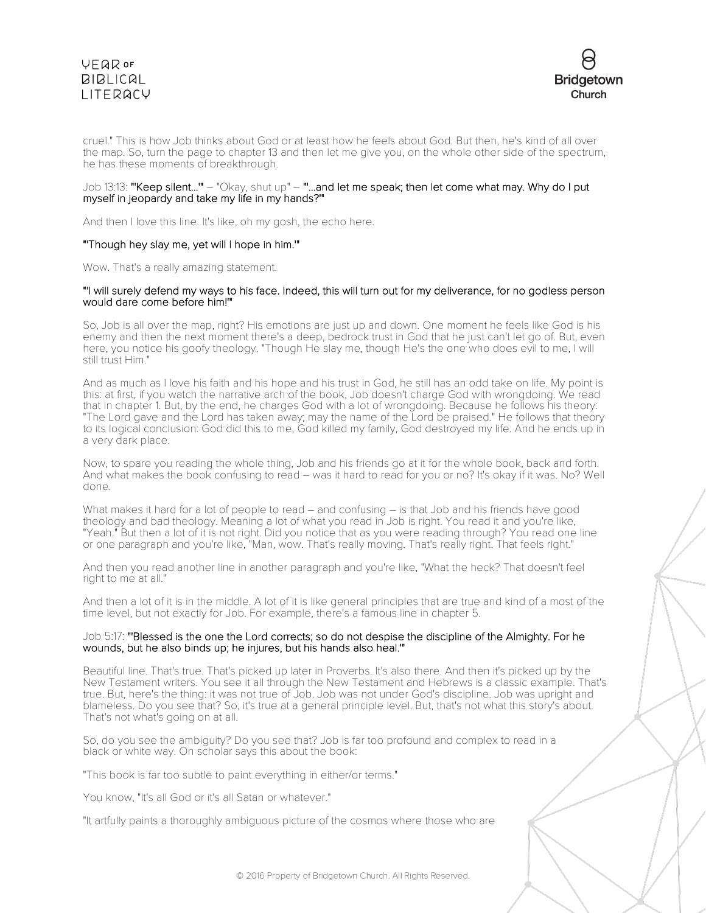# **VEQR OF BIBLICAL** LITERACY



cruel." This is how Job thinks about God or at least how he feels about God. But then, he's kind of all over the map. So, turn the page to chapter 13 and then let me give you, on the whole other side of the spectrum, he has these moments of breakthrough.

# Job 13:13: "'Keep silent...'" – "Okay, shut up" – "'...and let me speak; then let come what may. Why do I put myself in jeopardy and take my life in my hands?'"

And then I love this line. It's like, oh my gosh, the echo here.

# "'Though hey slay me, yet will I hope in him.'"

Wow. That's a really amazing statement.

# "'I will surely defend my ways to his face. Indeed, this will turn out for my deliverance, for no godless person would dare come before him!'"

So, Job is all over the map, right? His emotions are just up and down. One moment he feels like God is his enemy and then the next moment there's a deep, bedrock trust in God that he just can't let go of. But, even here, you notice his goofy theology. "Though He slay me, though He's the one who does evil to me, I will still trust Him."

And as much as I love his faith and his hope and his trust in God, he still has an odd take on life. My point is this: at first, if you watch the narrative arch of the book, Job doesn't charge God with wrongdoing. We read that in chapter 1. But, by the end, he charges God with a lot of wrongdoing. Because he follows his theory: "The Lord gave and the Lord has taken away; may the name of the Lord be praised." He follows that theory to its logical conclusion: God did this to me, God killed my family, God destroyed my life. And he ends up in a very dark place.

Now, to spare you reading the whole thing, Job and his friends go at it for the whole book, back and forth. And what makes the book confusing to read – was it hard to read for you or no? It's okay if it was. No? Well done.

What makes it hard for a lot of people to read – and confusing – is that Job and his friends have good theology and bad theology. Meaning a lot of what you read in Job is right. You read it and you're like, "Yeah." But then a lot of it is not right. Did you notice that as you were reading through? You read one line or one paragraph and you're like, "Man, wow. That's really moving. That's really right. That feels right."

And then you read another line in another paragraph and you're like, "What the heck? That doesn't feel right to me at all."

And then a lot of it is in the middle. A lot of it is like general principles that are true and kind of a most of the time level, but not exactly for Job. For example, there's a famous line in chapter 5.

# Job 5:17: "'Blessed is the one the Lord corrects; so do not despise the discipline of the Almighty. For he wounds, but he also binds up; he injures, but his hands also heal.'"

Beautiful line. That's true. That's picked up later in Proverbs. It's also there. And then it's picked up by the New Testament writers. You see it all through the New Testament and Hebrews is a classic example. That's true. But, here's the thing: it was not true of Job. Job was not under God's discipline. Job was upright and blameless. Do you see that? So, it's true at a general principle level. But, that's not what this story's about. That's not what's going on at all.

So, do you see the ambiguity? Do you see that? Job is far too profound and complex to read in a black or white way. On scholar says this about the book:

"This book is far too subtle to paint everything in either/or terms."

You know, "It's all God or it's all Satan or whatever."

"It artfully paints a thoroughly ambiguous picture of the cosmos where those who are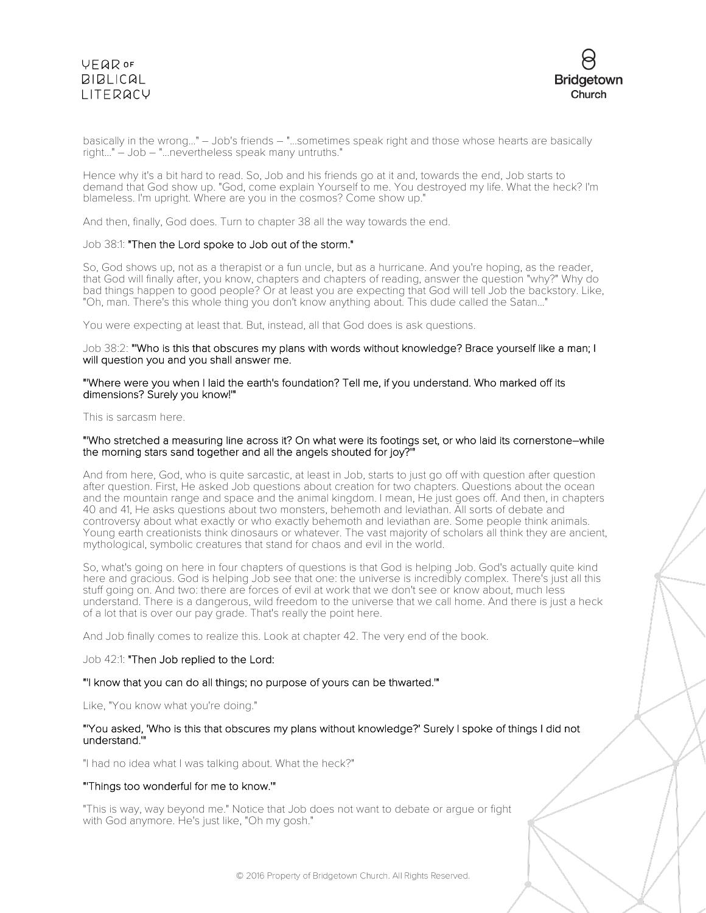# **VEQR OF BIBLICAL** LITERACY



basically in the wrong..." – Job's friends – "...sometimes speak right and those whose hearts are basically right..." – Job – "...nevertheless speak many untruths."

Hence why it's a bit hard to read. So, Job and his friends go at it and, towards the end, Job starts to demand that God show up. "God, come explain Yourself to me. You destroyed my life. What the heck? I'm blameless. I'm upright. Where are you in the cosmos? Come show up."

And then, finally, God does. Turn to chapter 38 all the way towards the end.

# Job 38:1: "Then the Lord spoke to Job out of the storm."

So, God shows up, not as a therapist or a fun uncle, but as a hurricane. And you're hoping, as the reader, that God will finally after, you know, chapters and chapters of reading, answer the question "why?" Why do bad things happen to good people? Or at least you are expecting that God will tell Job the backstory. Like, "Oh, man. There's this whole thing you don't know anything about. This dude called the Satan..."

You were expecting at least that. But, instead, all that God does is ask questions.

# Job 38:2: "'Who is this that obscures my plans with words without knowledge? Brace yourself like a man; I will question you and you shall answer me.

# "'Where were you when I laid the earth's foundation? Tell me, if you understand. Who marked off its dimensions? Surely you know!'"

## This is sarcasm here.

# "'Who stretched a measuring line across it? On what were its footings set, or who laid its cornerstone–while the morning stars sand together and all the angels shouted for joy?'"

And from here, God, who is quite sarcastic, at least in Job, starts to just go off with question after question after question. First, He asked Job questions about creation for two chapters. Questions about the ocean and the mountain range and space and the animal kingdom. I mean, He just goes off. And then, in chapters 40 and 41, He asks questions about two monsters, behemoth and leviathan. All sorts of debate and controversy about what exactly or who exactly behemoth and leviathan are. Some people think animals. Young earth creationists think dinosaurs or whatever. The vast majority of scholars all think they are ancient, mythological, symbolic creatures that stand for chaos and evil in the world.

So, what's going on here in four chapters of questions is that God is helping Job. God's actually quite kind here and gracious. God is helping Job see that one: the universe is incredibly complex. There's just all this stuff going on. And two: there are forces of evil at work that we don't see or know about, much less understand. There is a dangerous, wild freedom to the universe that we call home. And there is just a heck of a lot that is over our pay grade. That's really the point here.

And Job finally comes to realize this. Look at chapter 42. The very end of the book.

#### Job 42:1: "Then Job replied to the Lord:

#### "'I know that you can do all things; no purpose of yours can be thwarted.'"

Like, "You know what you're doing."

# "'You asked, 'Who is this that obscures my plans without knowledge?' Surely I spoke of things I did not understand.'"

"I had no idea what I was talking about. What the heck?"

# "'Things too wonderful for me to know.'"

"This is way, way beyond me." Notice that Job does not want to debate or argue or fight with God anymore. He's just like, "Oh my gosh."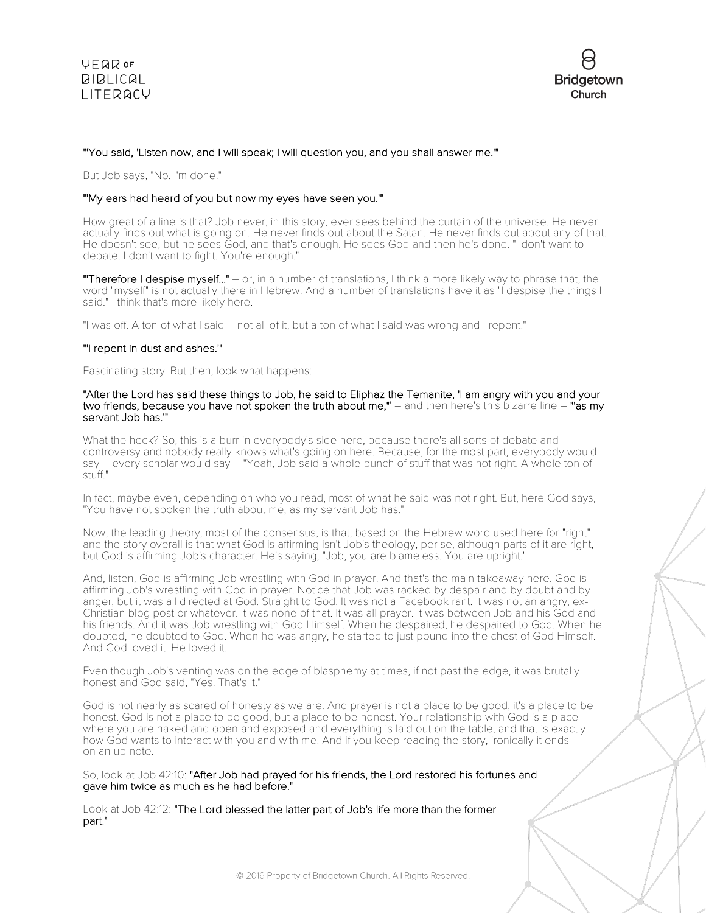

# "'You said, 'Listen now, and I will speak; I will question you, and you shall answer me.'"

But Job says, "No. I'm done."

# "'My ears had heard of you but now my eyes have seen you.'"

How great of a line is that? Job never, in this story, ever sees behind the curtain of the universe. He never actually finds out what is going on. He never finds out about the Satan. He never finds out about any of that. He doesn't see, but he sees God, and that's enough. He sees God and then he's done. "I don't want to debate. I don't want to fight. You're enough."

"Therefore I despise myself..." – or, in a number of translations, I think a more likely way to phrase that, the word "myself" is not actually there in Hebrew. And a number of translations have it as "I despise the things I said." I think that's more likely here.

"I was off. A ton of what I said – not all of it, but a ton of what I said was wrong and I repent."

# "'I repent in dust and ashes.'"

Fascinating story. But then, look what happens:

### "After the Lord has said these things to Job, he said to Eliphaz the Temanite, 'I am angry with you and your two friends, because you have not spoken the truth about me," – and then here's this bizarre line – "as my servant Job has.'"

What the heck? So, this is a burr in everybody's side here, because there's all sorts of debate and controversy and nobody really knows what's going on here. Because, for the most part, everybody would say – every scholar would say – "Yeah, Job said a whole bunch of stuff that was not right. A whole ton of stuff."

In fact, maybe even, depending on who you read, most of what he said was not right. But, here God says, "You have not spoken the truth about me, as my servant Job has."

Now, the leading theory, most of the consensus, is that, based on the Hebrew word used here for "right" and the story overall is that what God is affirming isn't Job's theology, per se, although parts of it are right, but God is affirming Job's character. He's saying, "Job, you are blameless. You are upright."

And, listen, God is affirming Job wrestling with God in prayer. And that's the main takeaway here. God is affirming Job's wrestling with God in prayer. Notice that Job was racked by despair and by doubt and by anger, but it was all directed at God. Straight to God. It was not a Facebook rant. It was not an angry, ex-Christian blog post or whatever. It was none of that. It was all prayer. It was between Job and his God and his friends. And it was Job wrestling with God Himself. When he despaired, he despaired to God. When he doubted, he doubted to God. When he was angry, he started to just pound into the chest of God Himself. And God loved it. He loved it.

Even though Job's venting was on the edge of blasphemy at times, if not past the edge, it was brutally honest and God said, "Yes. That's it."

God is not nearly as scared of honesty as we are. And prayer is not a place to be good, it's a place to be honest. God is not a place to be good, but a place to be honest. Your relationship with God is a place where you are naked and open and exposed and everything is laid out on the table, and that is exactly how God wants to interact with you and with me. And if you keep reading the story, ironically it ends on an up note.

So, look at Job 42:10: "After Job had prayed for his friends, the Lord restored his fortunes and gave him twice as much as he had before."

Look at Job 42:12: "The Lord blessed the latter part of Job's life more than the former part."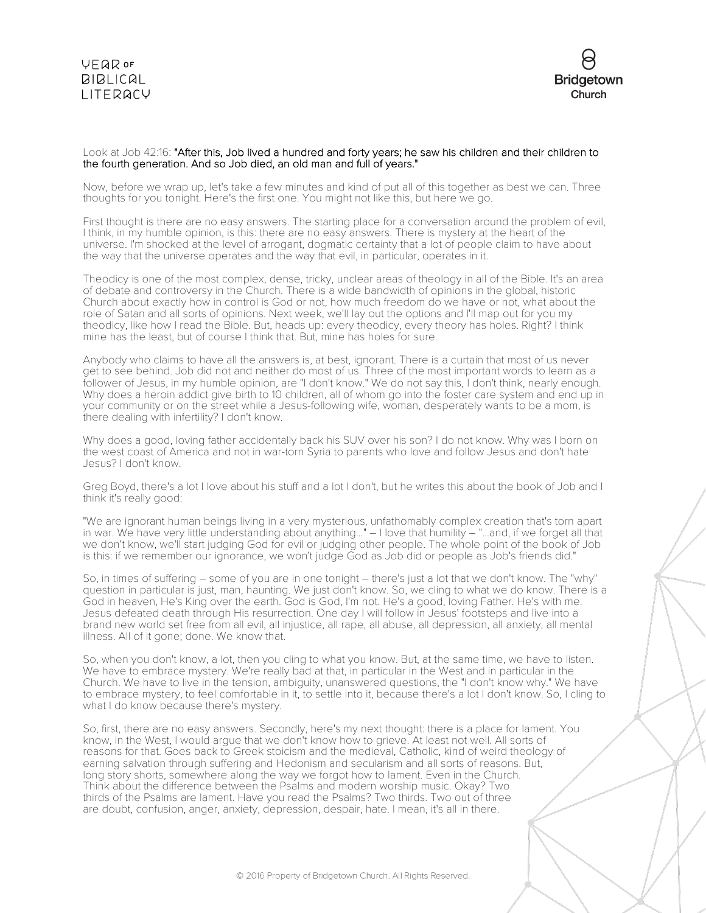# VEQROF  $BIBLICAL$ LITERACY



# Look at Job 42:16: "After this, Job lived a hundred and forty years; he saw his children and their children to the fourth generation. And so Job died, an old man and full of years."

Now, before we wrap up, let's take a few minutes and kind of put all of this together as best we can. Three thoughts for you tonight. Here's the first one. You might not like this, but here we go.

First thought is there are no easy answers. The starting place for a conversation around the problem of evil, I think, in my humble opinion, is this: there are no easy answers. There is mystery at the heart of the universe. I'm shocked at the level of arrogant, dogmatic certainty that a lot of people claim to have about the way that the universe operates and the way that evil, in particular, operates in it.

Theodicy is one of the most complex, dense, tricky, unclear areas of theology in all of the Bible. It's an area of debate and controversy in the Church. There is a wide bandwidth of opinions in the global, historic Church about exactly how in control is God or not, how much freedom do we have or not, what about the role of Satan and all sorts of opinions. Next week, we'll lay out the options and I'll map out for you my theodicy, like how I read the Bible. But, heads up: every theodicy, every theory has holes. Right? I think mine has the least, but of course I think that. But, mine has holes for sure.

Anybody who claims to have all the answers is, at best, ignorant. There is a curtain that most of us never get to see behind. Job did not and neither do most of us. Three of the most important words to learn as a follower of Jesus, in my humble opinion, are "I don't know." We do not say this, I don't think, nearly enough. Why does a heroin addict give birth to 10 children, all of whom go into the foster care system and end up in your community or on the street while a Jesus-following wife, woman, desperately wants to be a mom, is there dealing with infertility? I don't know.

Why does a good, loving father accidentally back his SUV over his son? I do not know. Why was I born on the west coast of America and not in war-torn Syria to parents who love and follow Jesus and don't hate Jesus? I don't know.

Greg Boyd, there's a lot I love about his stuff and a lot I don't, but he writes this about the book of Job and I think it's really good:

"We are ignorant human beings living in a very mysterious, unfathomably complex creation that's torn apart in war. We have very little understanding about anything..." – I love that humility – "...and, if we forget all that we don't know, we'll start judging God for evil or judging other people. The whole point of the book of Job is this: if we remember our ignorance, we won't judge God as Job did or people as Job's friends did."

So, in times of suffering – some of you are in one tonight – there's just a lot that we don't know. The "why" question in particular is just, man, haunting. We just don't know. So, we cling to what we do know. There is a God in heaven, He's King over the earth. God is God, I'm not. He's a good, loving Father. He's with me. Jesus defeated death through His resurrection. One day I will follow in Jesus' footsteps and live into a brand new world set free from all evil, all injustice, all rape, all abuse, all depression, all anxiety, all mental illness. All of it gone; done. We know that.

So, when you don't know, a lot, then you cling to what you know. But, at the same time, we have to listen. We have to embrace mystery. We're really bad at that, in particular in the West and in particular in the Church. We have to live in the tension, ambiguity, unanswered questions, the "I don't know why." We have to embrace mystery, to feel comfortable in it, to settle into it, because there's a lot I don't know. So, I cling to what I do know because there's mystery.

So, first, there are no easy answers. Secondly, here's my next thought: there is a place for lament. You know, in the West, I would argue that we don't know how to grieve. At least not well. All sorts of reasons for that. Goes back to Greek stoicism and the medieval, Catholic, kind of weird theology of earning salvation through suffering and Hedonism and secularism and all sorts of reasons. But, long story shorts, somewhere along the way we forgot how to lament. Even in the Church. Think about the difference between the Psalms and modern worship music. Okay? Two thirds of the Psalms are lament. Have you read the Psalms? Two thirds. Two out of three are doubt, confusion, anger, anxiety, depression, despair, hate. I mean, it's all in there.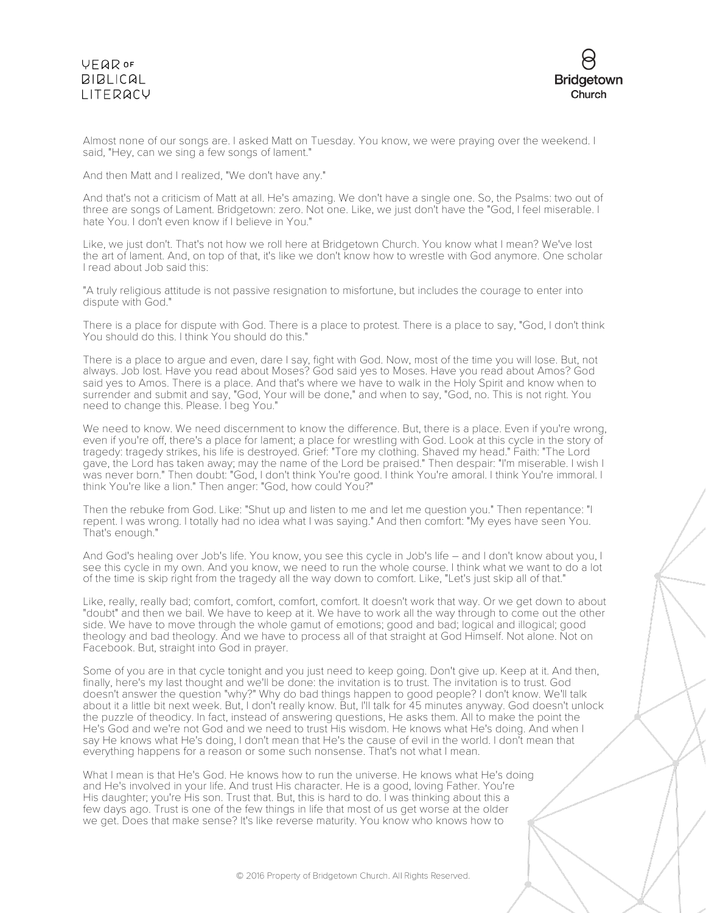# VEQROF **BIBLICAL** LITERACY



Almost none of our songs are. I asked Matt on Tuesday. You know, we were praying over the weekend. I said, "Hey, can we sing a few songs of lament."

And then Matt and I realized, "We don't have any."

And that's not a criticism of Matt at all. He's amazing. We don't have a single one. So, the Psalms: two out of three are songs of Lament. Bridgetown: zero. Not one. Like, we just don't have the "God, I feel miserable. I hate You. I don't even know if I believe in You."

Like, we just don't. That's not how we roll here at Bridgetown Church. You know what I mean? We've lost the art of lament. And, on top of that, it's like we don't know how to wrestle with God anymore. One scholar I read about Job said this:

"A truly religious attitude is not passive resignation to misfortune, but includes the courage to enter into dispute with God."

There is a place for dispute with God. There is a place to protest. There is a place to say, "God, I don't think You should do this. I think You should do this."

There is a place to argue and even, dare I say, fight with God. Now, most of the time you will lose. But, not always. Job lost. Have you read about Moses? God said yes to Moses. Have you read about Amos? God said yes to Amos. There is a place. And that's where we have to walk in the Holy Spirit and know when to surrender and submit and say, "God, Your will be done," and when to say, "God, no. This is not right. You need to change this. Please. I beg You."

We need to know. We need discernment to know the difference. But, there is a place. Even if you're wrong, even if you're off, there's a place for lament; a place for wrestling with God. Look at this cycle in the story of tragedy: tragedy strikes, his life is destroyed. Grief: "Tore my clothing. Shaved my head." Faith: "The Lord gave, the Lord has taken away; may the name of the Lord be praised." Then despair: "I'm miserable. I wish I was never born." Then doubt: "God, I don't think You're good. I think You're amoral. I think You're immoral. I think You're like a lion." Then anger: "God, how could You?"

Then the rebuke from God. Like: "Shut up and listen to me and let me question you." Then repentance: "I repent. I was wrong. I totally had no idea what I was saying." And then comfort: "My eyes have seen You. That's enough."

And God's healing over Job's life. You know, you see this cycle in Job's life – and I don't know about you, I see this cycle in my own. And you know, we need to run the whole course. I think what we want to do a lot of the time is skip right from the tragedy all the way down to comfort. Like, "Let's just skip all of that."

Like, really, really bad; comfort, comfort, comfort, comfort. It doesn't work that way. Or we get down to about "doubt" and then we bail. We have to keep at it. We have to work all the way through to come out the other side. We have to move through the whole gamut of emotions; good and bad; logical and illogical; good theology and bad theology. And we have to process all of that straight at God Himself. Not alone. Not on Facebook. But, straight into God in prayer.

Some of you are in that cycle tonight and you just need to keep going. Don't give up. Keep at it. And then, finally, here's my last thought and we'll be done: the invitation is to trust. The invitation is to trust. God doesn't answer the question "why?" Why do bad things happen to good people? I don't know. We'll talk about it a little bit next week. But, I don't really know. But, I'll talk for 45 minutes anyway. God doesn't unlock the puzzle of theodicy. In fact, instead of answering questions, He asks them. All to make the point the He's God and we're not God and we need to trust His wisdom. He knows what He's doing. And when I say He knows what He's doing, I don't mean that He's the cause of evil in the world. I don't mean that everything happens for a reason or some such nonsense. That's not what I mean.

What I mean is that He's God. He knows how to run the universe. He knows what He's doing and He's involved in your life. And trust His character. He is a good, loving Father. You're His daughter; you're His son. Trust that. But, this is hard to do. I was thinking about this a few days ago. Trust is one of the few things in life that most of us get worse at the older we get. Does that make sense? It's like reverse maturity. You know who knows how to